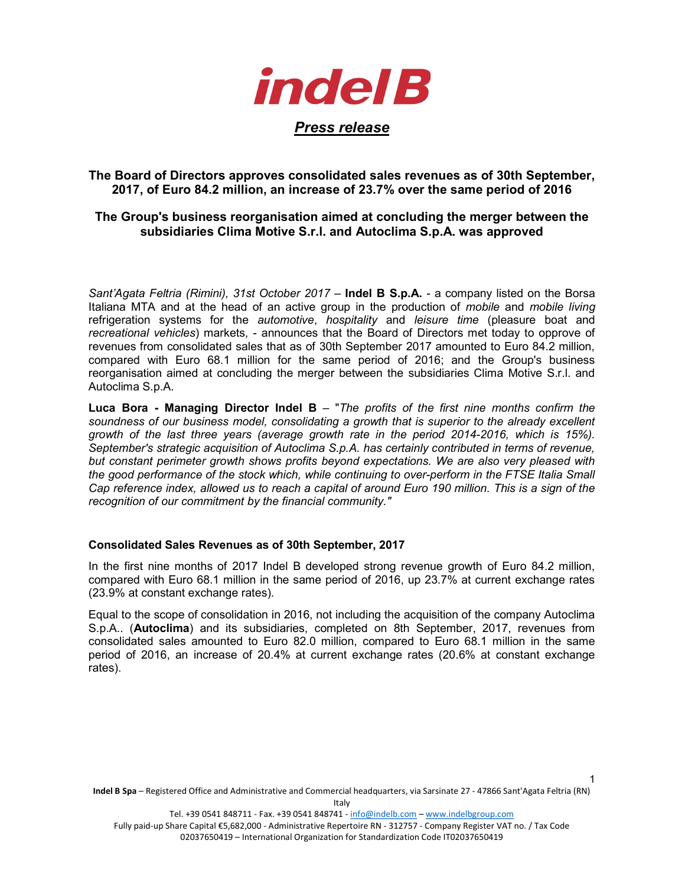

# The Board of Directors approves consolidated sales revenues as of 30th September, 2017, of Euro 84.2 million, an increase of 23.7% over the same period of 2016

## The Group's business reorganisation aimed at concluding the merger between the subsidiaries Clima Motive S.r.l. and Autoclima S.p.A. was approved

Sant'Agata Feltria (Rimini), 31st October 2017 – Indel B S.p.A. - a company listed on the Borsa Italiana MTA and at the head of an active group in the production of mobile and mobile living refrigeration systems for the *automotive*, hospitality and leisure time (pleasure boat and recreational vehicles) markets, - announces that the Board of Directors met today to opprove of revenues from consolidated sales that as of 30th September 2017 amounted to Euro 84.2 million, compared with Euro 68.1 million for the same period of 2016; and the Group's business reorganisation aimed at concluding the merger between the subsidiaries Clima Motive S.r.l. and Autoclima S.p.A.

Luca Bora - Managing Director Indel  $B - "The profits of the first nine months confirm the$ soundness of our business model, consolidating a growth that is superior to the already excellent growth of the last three years (average growth rate in the period 2014-2016, which is 15%). September's strategic acquisition of Autoclima S.p.A. has certainly contributed in terms of revenue, but constant perimeter growth shows profits beyond expectations. We are also very pleased with the good performance of the stock which, while continuing to over-perform in the FTSE Italia Small Cap reference index, allowed us to reach a capital of around Euro 190 million. This is a sign of the recognition of our commitment by the financial community."

### Consolidated Sales Revenues as of 30th September, 2017

In the first nine months of 2017 Indel B developed strong revenue growth of Euro 84.2 million, compared with Euro 68.1 million in the same period of 2016, up 23.7% at current exchange rates (23.9% at constant exchange rates).

Equal to the scope of consolidation in 2016, not including the acquisition of the company Autoclima S.p.A.. (Autoclima) and its subsidiaries, completed on 8th September, 2017, revenues from consolidated sales amounted to Euro 82.0 million, compared to Euro 68.1 million in the same period of 2016, an increase of 20.4% at current exchange rates (20.6% at constant exchange rates).

Tel. +39 0541 848711 - Fax. +39 0541 848741 - info@indelb.com – www.indelbgroup.com

1

Fully paid-up Share Capital €5,682,000 - Administrative Repertoire RN - 312757 - Company Register VAT no. / Tax Code 02037650419 – International Organization for Standardization Code IT02037650419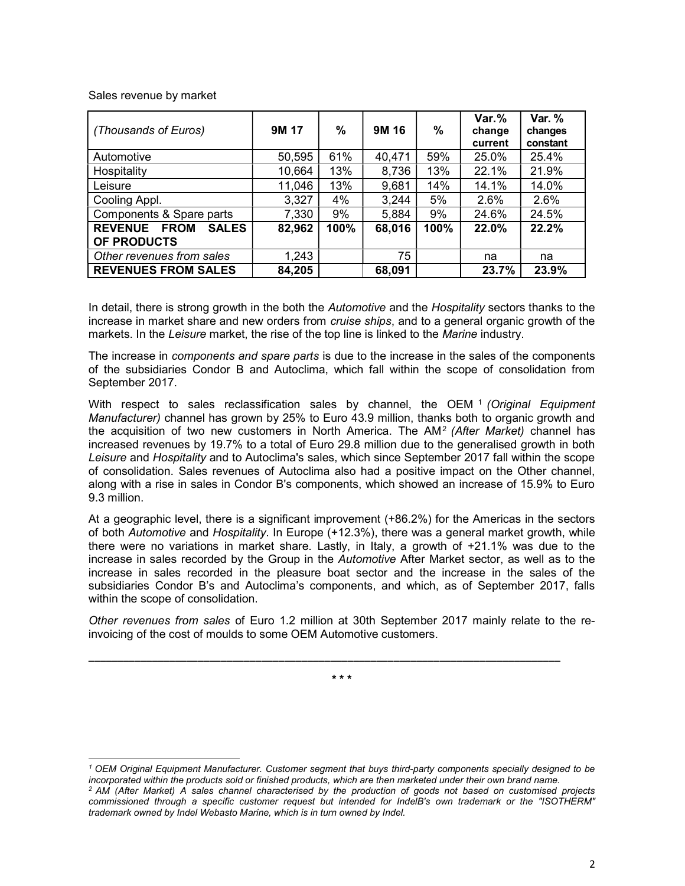Sales revenue by market

 $\overline{a}$ 

| (Thousands of Euros)                                         | 9M 17  | %    | 9M 16  | $\frac{0}{0}$ | $Var.$ %<br>change<br>current | Var. %<br>changes<br>constant |
|--------------------------------------------------------------|--------|------|--------|---------------|-------------------------------|-------------------------------|
| Automotive                                                   | 50,595 | 61%  | 40,471 | 59%           | 25.0%                         | 25.4%                         |
| Hospitality                                                  | 10,664 | 13%  | 8,736  | 13%           | 22.1%                         | 21.9%                         |
| Leisure                                                      | 11,046 | 13%  | 9,681  | 14%           | 14.1%                         | 14.0%                         |
| Cooling Appl.                                                | 3,327  | 4%   | 3,244  | 5%            | 2.6%                          | 2.6%                          |
| Components & Spare parts                                     | 7,330  | 9%   | 5,884  | 9%            | 24.6%                         | 24.5%                         |
| <b>REVENUE</b><br><b>FROM</b><br><b>SALES</b><br>OF PRODUCTS | 82,962 | 100% | 68,016 | 100%          | 22.0%                         | 22.2%                         |
| Other revenues from sales                                    | 1,243  |      | 75     |               | na                            | na                            |
| <b>REVENUES FROM SALES</b>                                   | 84,205 |      | 68,091 |               | 23.7%                         | 23.9%                         |

In detail, there is strong growth in the both the Automotive and the Hospitality sectors thanks to the increase in market share and new orders from cruise ships, and to a general organic growth of the markets. In the Leisure market, the rise of the top line is linked to the Marine industry.

The increase in components and spare parts is due to the increase in the sales of the components of the subsidiaries Condor B and Autoclima, which fall within the scope of consolidation from September 2017.

With respect to sales reclassification sales by channel, the OEM 1 (Original Equipment Manufacturer) channel has grown by 25% to Euro 43.9 million, thanks both to organic growth and the acquisition of two new customers in North America. The AM<sup>2</sup> (After Market) channel has increased revenues by 19.7% to a total of Euro 29.8 million due to the generalised growth in both Leisure and Hospitality and to Autoclima's sales, which since September 2017 fall within the scope of consolidation. Sales revenues of Autoclima also had a positive impact on the Other channel, along with a rise in sales in Condor B's components, which showed an increase of 15.9% to Euro 9.3 million.

At a geographic level, there is a significant improvement (+86.2%) for the Americas in the sectors of both Automotive and Hospitality. In Europe (+12.3%), there was a general market growth, while there were no variations in market share. Lastly, in Italy, a growth of +21.1% was due to the increase in sales recorded by the Group in the Automotive After Market sector, as well as to the increase in sales recorded in the pleasure boat sector and the increase in the sales of the subsidiaries Condor B's and Autoclima's components, and which, as of September 2017, falls within the scope of consolidation.

Other revenues from sales of Euro 1.2 million at 30th September 2017 mainly relate to the reinvoicing of the cost of moulds to some OEM Automotive customers.

\* \* \*

\_\_\_\_\_\_\_\_\_\_\_\_\_\_\_\_\_\_\_\_\_\_\_\_\_\_\_\_\_\_\_\_\_\_\_\_\_\_\_\_\_\_\_\_\_\_\_\_\_\_\_\_\_\_\_\_\_\_\_\_\_\_\_\_\_\_\_\_\_\_\_\_\_\_\_\_\_\_\_\_\_\_

<sup>1</sup> OEM Original Equipment Manufacturer. Customer segment that buys third-party components specially designed to be incorporated within the products sold or finished products, which are then marketed under their own brand name. <sup>2</sup> AM (After Market) A sales channel characterised by the production of goods not based on customised projects

commissioned through a specific customer request but intended for IndelB's own trademark or the "ISOTHERM" trademark owned by Indel Webasto Marine, which is in turn owned by Indel.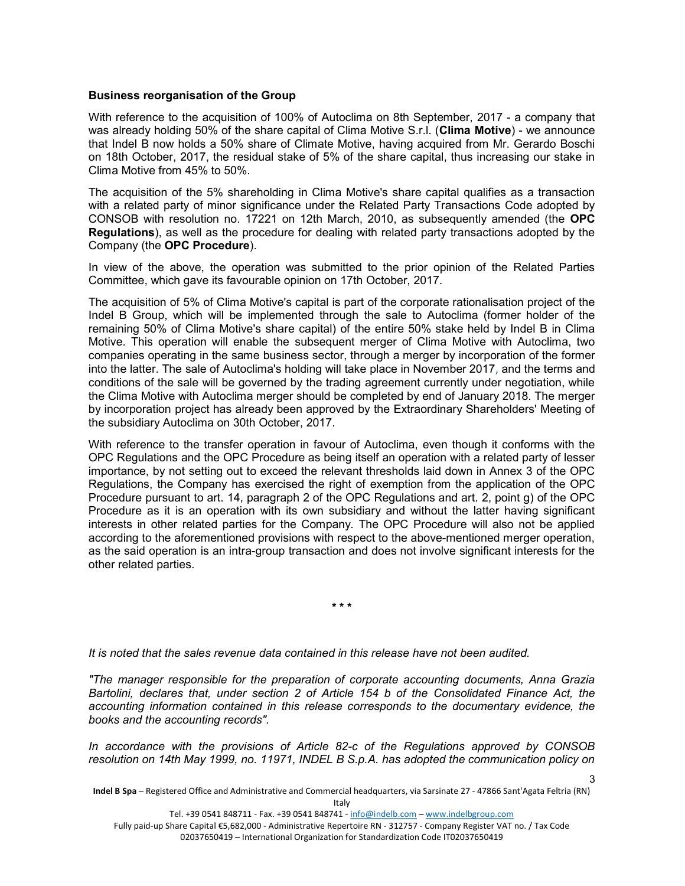#### Business reorganisation of the Group

With reference to the acquisition of 100% of Autoclima on 8th September, 2017 - a company that was already holding 50% of the share capital of Clima Motive S.r.l. (Clima Motive) - we announce that Indel B now holds a 50% share of Climate Motive, having acquired from Mr. Gerardo Boschi on 18th October, 2017, the residual stake of 5% of the share capital, thus increasing our stake in Clima Motive from 45% to 50%.

The acquisition of the 5% shareholding in Clima Motive's share capital qualifies as a transaction with a related party of minor significance under the Related Party Transactions Code adopted by CONSOB with resolution no. 17221 on 12th March, 2010, as subsequently amended (the OPC Regulations), as well as the procedure for dealing with related party transactions adopted by the Company (the OPC Procedure).

In view of the above, the operation was submitted to the prior opinion of the Related Parties Committee, which gave its favourable opinion on 17th October, 2017.

The acquisition of 5% of Clima Motive's capital is part of the corporate rationalisation project of the Indel B Group, which will be implemented through the sale to Autoclima (former holder of the remaining 50% of Clima Motive's share capital) of the entire 50% stake held by Indel B in Clima Motive. This operation will enable the subsequent merger of Clima Motive with Autoclima, two companies operating in the same business sector, through a merger by incorporation of the former into the latter. The sale of Autoclima's holding will take place in November 2017, and the terms and conditions of the sale will be governed by the trading agreement currently under negotiation, while the Clima Motive with Autoclima merger should be completed by end of January 2018. The merger by incorporation project has already been approved by the Extraordinary Shareholders' Meeting of the subsidiary Autoclima on 30th October, 2017.

With reference to the transfer operation in favour of Autoclima, even though it conforms with the OPC Regulations and the OPC Procedure as being itself an operation with a related party of lesser importance, by not setting out to exceed the relevant thresholds laid down in Annex 3 of the OPC Regulations, the Company has exercised the right of exemption from the application of the OPC Procedure pursuant to art. 14, paragraph 2 of the OPC Regulations and art. 2, point g) of the OPC Procedure as it is an operation with its own subsidiary and without the latter having significant interests in other related parties for the Company. The OPC Procedure will also not be applied according to the aforementioned provisions with respect to the above-mentioned merger operation, as the said operation is an intra-group transaction and does not involve significant interests for the other related parties.

\* \* \*

It is noted that the sales revenue data contained in this release have not been audited.

"The manager responsible for the preparation of corporate accounting documents, Anna Grazia Bartolini, declares that, under section 2 of Article 154 b of the Consolidated Finance Act, the accounting information contained in this release corresponds to the documentary evidence, the books and the accounting records".

In accordance with the provisions of Article 82-c of the Regulations approved by CONSOB resolution on 14th May 1999, no. 11971, INDEL B S.p.A. has adopted the communication policy on

Indel B Spa – Registered Office and Administrative and Commercial headquarters, via Sarsinate 27 - 47866 Sant'Agata Feltria (RN) Italy

Tel. +39 0541 848711 - Fax. +39 0541 848741 - info@indelb.com – www.indelbgroup.com

Fully paid-up Share Capital €5,682,000 - Administrative Repertoire RN - 312757 - Company Register VAT no. / Tax Code 02037650419 – International Organization for Standardization Code IT02037650419

<sup>3</sup>